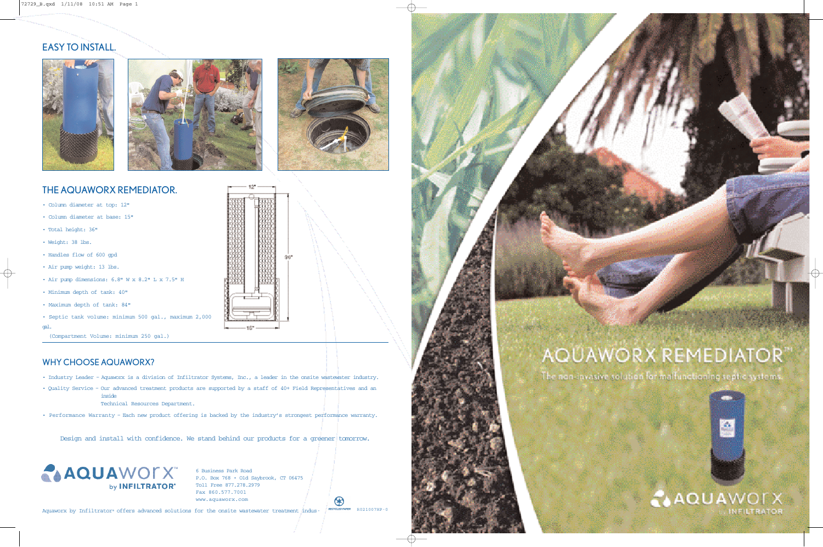# EASY TO INSTALL.







# THE AQUAWORX REMEDIATOR.

- Column diameter at top: 12"
- Column diameter at base: 15"
- Total height: 36"
- Weight: 38 lbs.
- Handles flow of 600 gpd
- Air pump weight: 13 lbs.
- Air pump dimensions: 6.8" W x 8.2" L x 7.5" H
- Minimum depth of tank: 40"
- Maximum depth of tank: 84"

• Septic tank volume: minimum 500 gal., maximum 2,000 gal.

(Compartment Volume: minimum 250 gal.)

#### WHY CHOOSE AQUAWORX?

- Industry Leader Aquaworx is a division of Infiltrator Systems, Inc., a leader in the onsite wastewater industry.
- Quality Service Our advanced treatment products are supported by a staff of 40+ Field Representatives and an inside
	- Technical Resources Department.
- Performance Warranty Each new product offering is backed by the industry's strongest performance warranty.

Design and install with confidence. We stand behind our products for a greener tomorrow.



6 Business Park Road P.O. Box 768 • Old Saybrook, CT 06475 Toll Free 877.278.2979 Fax 860.577.7001 www.aquaworx.com

Aquaworx by Infiltrator® offers advanced solutions for the onsite wastewater treatment indus- RECYCLED PAPER R021007HP-0

 $\left( \star \right)$ 

# **AQUAWORX REMEDIATOR**

The non-invasive solution for malfunctioning septic systems.



**CAQUAWOLX**